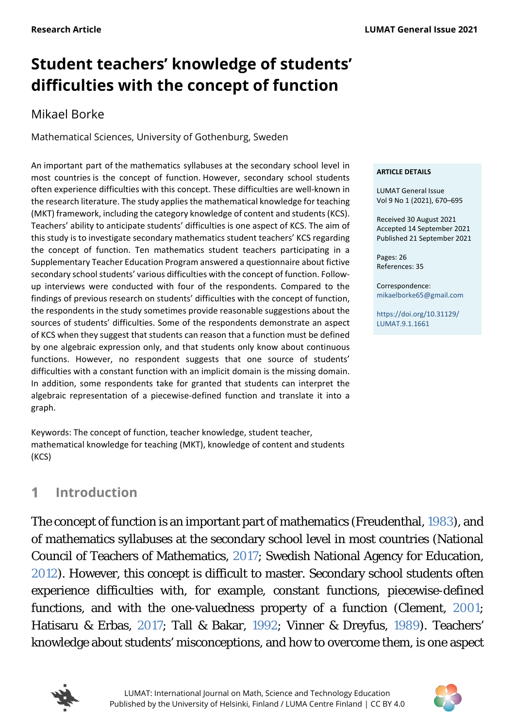# **Student teachers' knowledge of students' difficulties with the concept of function**

# Mikael Borke

Mathematical Sciences, University of Gothenburg, Sweden

An important part of the mathematics syllabuses at the secondary school level in most countries is the concept of function. However, secondary school students often experience difficulties with this concept. These difficulties are well-known in the research literature. The study applies the mathematical knowledge for teaching (MKT) framework, including the category knowledge of content and students (KCS). Teachers' ability to anticipate students' difficulties is one aspect of KCS. The aim of this study is to investigate secondary mathematics student teachers' KCS regarding the concept of function. Ten mathematics student teachers participating in a Supplementary Teacher Education Program answered a questionnaire about fictive secondary school students' various difficulties with the concept of function. Followup interviews were conducted with four of the respondents. Compared to the findings of previous research on students' difficulties with the concept of function, the respondents in the study sometimes provide reasonable suggestions about the sources of students' difficulties. Some of the respondents demonstrate an aspect of KCS when they suggest that students can reason that a function must be defined by one algebraic expression only, and that students only know about continuous functions. However, no respondent suggests that one source of students' difficulties with a constant function with an implicit domain is the missing domain. In addition, some respondents take for granted that students can interpret the algebraic representation of a piecewise-defined function and translate it into a graph.

Keywords: The concept of function, teacher knowledge, student teacher, mathematical knowledge for teaching (MKT), knowledge of content and students (KCS)

#### **ARTICLE DETAILS**

LUMAT General Issue Vol 9 No 1 (2021), 670–695

Received 30 August 2021 Accepted 14 September 2021 Published 21 September 2021

Pages: 26 References: 35

Correspondence: [mikaelborke65@gmail.com](mailto:mikaelborke65@gmail.com)

[https://doi.org/10.31129/](https://doi.org/10.31129/LUMAT.9.1.1661)  [LUMAT.9.1.1661](https://doi.org/10.31129/LUMAT.9.1.1661)

#### <span id="page-0-0"></span>**Introduction**  $\blacktriangleleft$

The concept of function is an important part of mathematics (Freudenthal, [1983\)](#page-23-0), and of mathematics syllabuses at the secondary school level in most countries (National Council of Teachers of Mathematics, [2017;](#page-23-0) Swedish National Agency for Education, [2012\)](#page-23-0). However, this concept is difficult to master. Secondary school students often experience difficulties with, for example, constant functions, piecewise-defined functions, and with the one-valuedness property of a function (Clement, [2001;](#page-23-0) Hatisaru & Erbas, [2017;](#page-23-0) Tall & Bakar, [1992;](#page-23-0) Vinner & Dreyfus, [1989\)](#page-23-0). Teachers' knowledge about students' misconceptions, and how to overcome them, is one aspect



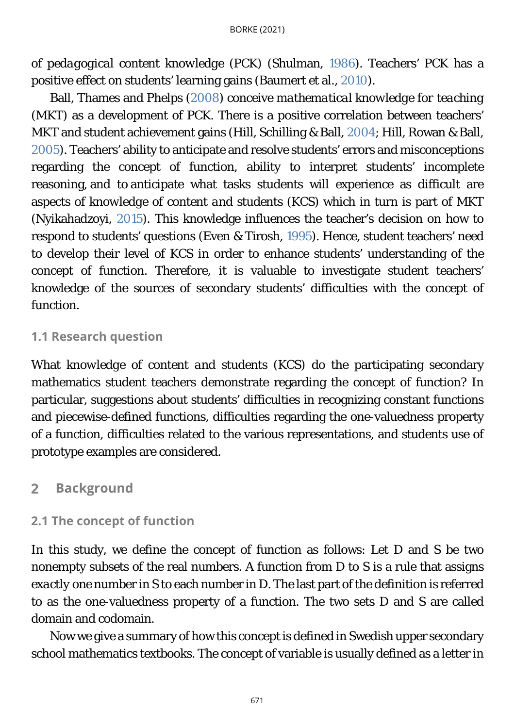of *pedagogical content knowledge* (PCK) (Shulman, [1986\)](#page-23-0). Teachers' PCK has a positive effect on students' learning gains (Baumert et al., [2010\)](#page-23-0).

Ball, Thames and Phelps [\(2008\)](#page-23-0) conceive *mathematical knowledge for teaching* (MKT) as a development of PCK. There is a positive correlation between teachers' MKT and student achievement gains (Hill, Schilling & Ball, [2004;](#page-23-0) Hill, Rowan & Ball, [2005\)](#page-23-0). Teachers' ability to anticipate and resolve students' errors and misconceptions regarding the concept of function, ability to interpret students' incomplete reasoning, and to anticipate what tasks students will experience as difficult are aspects of *knowledge of content and students* (KCS) which in turn is part of MKT (Nyikahadzoyi, [2015\)](#page-23-0). This knowledge influences the teacher's decision on how to respond to students' questions (Even & Tirosh, [1995\)](#page-23-0). Hence, student teachers' need to develop their level of KCS in order to enhance students' understanding of the concept of function. Therefore, it is valuable to investigate student teachers' knowledge of the sources of secondary students' difficulties with the concept of function.

# **1.1 Research question**

What *knowledge of content and students* (KCS) do the participating secondary mathematics student teachers demonstrate regarding the concept of function? In particular, suggestions about students' difficulties in recognizing constant functions and piecewise-defined functions, difficulties regarding the one-valuedness property of a function, difficulties related to the various representations, and students use of prototype examples are considered.

#### **Background**  $\overline{2}$

# <span id="page-1-0"></span>**2.1 The concept of function**

In this study, we define the concept of function as follows: Let D and S be two nonempty subsets of the real numbers. A function from D to S is a rule that assigns *exactly one* number in S to each number in D. The last part of the definition is referred to as the one-valuedness property of a function. The two sets D and S are called domain and codomain.

Now we give a summary of how this concept is defined in Swedish upper secondary school mathematics textbooks. The concept of variable is usually defined as a letter in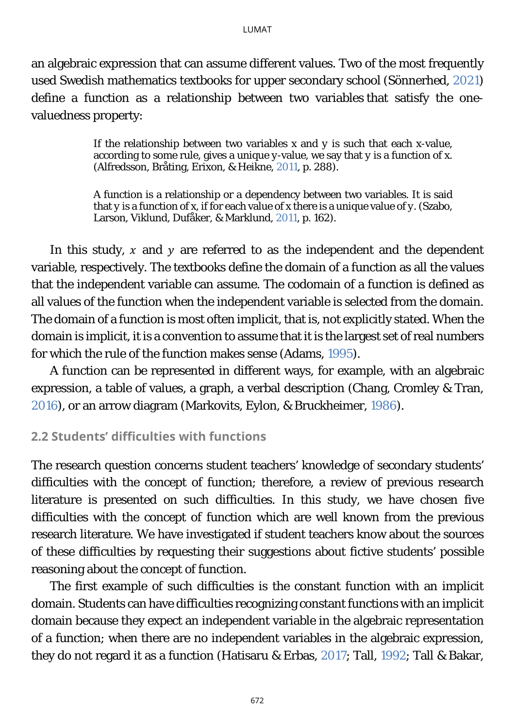an algebraic expression that can assume different values. Two of the most frequently used Swedish mathematics textbooks for upper secondary school (Sönnerhed, [2021\)](#page-23-0) define a function as a relationship between two variables that satisfy the onevaluedness property:

> If the relationship between two variables *x* and *y* is such that each *x*-value, according to some rule, gives a unique *y*-value, we say that *y* is a function of *x*. (Alfredsson, Bråting, Erixon, & Heikne, [2011,](#page-23-0) p. 288).

> A function is a relationship or a dependency between two variables. It is said that *y* is a function of *x,* if for each value of *x* there is a unique value of *y.* (Szabo, Larson, Viklund, Dufåker, & Marklund, [2011,](#page-23-0) p. 162).

In this study,  $x$  and  $y$  are referred to as the independent and the dependent variable, respectively. The textbooks define the domain of a function as all the values that the independent variable can assume. The codomain of a function is defined as all values of the function when the independent variable is selected from the domain. The domain of a function is most often implicit, that is, not explicitly stated. When the domain is implicit, it is a convention to assume that it is the largest set of real numbers for which the rule of the function makes sense (Adams, [1995\)](#page-23-0).

A function can be represented in different ways, for example, with an algebraic expression, a table of values, a graph, a verbal description (Chang, Cromley & Tran, [2016\)](#page-23-0), or an arrow diagram (Markovits, Eylon, & Bruckheimer, [1986\)](#page-23-0).

### <span id="page-2-0"></span>**2.2 Students' difficulties with functions**

The research question concerns student teachers' knowledge of secondary students' difficulties with the concept of function; therefore, a review of previous research literature is presented on such difficulties. In this study, we have chosen five difficulties with the concept of function which are well known from the previous research literature. We have investigated if student teachers know about the sources of these difficulties by requesting their suggestions about fictive students' possible reasoning about the concept of function.

The first example of such difficulties is the constant function with an implicit domain. Students can have difficulties recognizing constant functions with an implicit domain because they expect an independent variable in the algebraic representation of a function; when there are no independent variables in the algebraic expression, they do not regard it as a function (Hatisaru & Erbas, [2017;](#page-23-0) Tall, [1992;](#page-23-0) Tall & Bakar,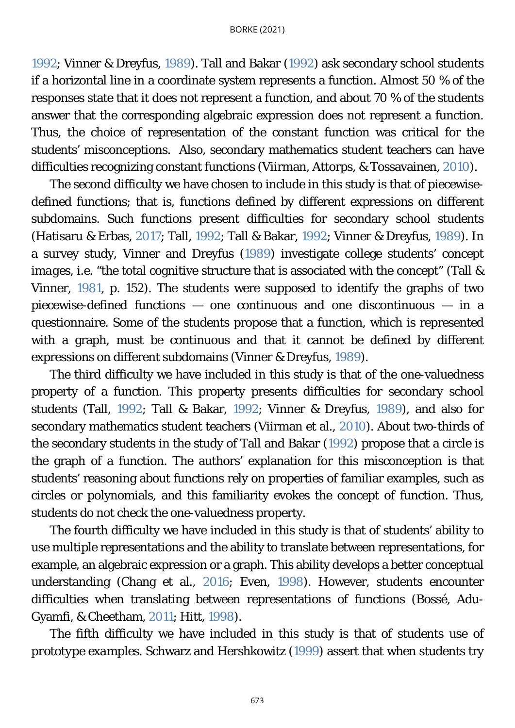[1992;](#page-23-0) Vinner & Dreyfus, [1989\)](#page-23-0). Tall and Bakar [\(1992\)](#page-23-0) ask secondary school students if a horizontal line in a coordinate system represents a function. Almost 50 % of the responses state that it does not represent a function, and about 70 % of the students answer that the corresponding algebraic expression does not represent a function. Thus, the choice of representation of the constant function was critical for the students' misconceptions. Also, secondary mathematics student teachers can have difficulties recognizing constant functions (Viirman, Attorps, & Tossavainen, [2010\)](#page-23-0).

The second difficulty we have chosen to include in this study is that of piecewisedefined functions; that is, functions defined by different expressions on different subdomains. Such functions present difficulties for secondary school students (Hatisaru & Erbas, [2017;](#page-23-0) Tall, [1992;](#page-23-0) Tall & Bakar, [1992;](#page-23-0) Vinner & Dreyfus, [1989\)](#page-23-0). In a survey study, Vinner and Dreyfus [\(1989\)](#page-23-0) investigate college students' *concept images*, i.e. "the total cognitive structure that is associated with the concept" (Tall & Vinner, [1981,](#page-23-0) p. 152). The students were supposed to identify the graphs of two piecewise-defined functions — one continuous and one discontinuous — in a questionnaire. Some of the students propose that a function, which is represented with a graph, must be continuous and that it cannot be defined by different expressions on different subdomains (Vinner & Dreyfus, [1989\)](#page-23-0).

The third difficulty we have included in this study is that of the one-valuedness property of a function. This property presents difficulties for secondary school students (Tall, [1992;](#page-23-0) Tall & Bakar, [1992;](#page-23-0) Vinner & Dreyfus, [1989\)](#page-23-0), and also for secondary mathematics student teachers (Viirman et al., [2010\)](#page-23-0). About two-thirds of the secondary students in the study of Tall and Bakar [\(1992\)](#page-23-0) propose that a circle is the graph of a function. The authors' explanation for this misconception is that students' reasoning about functions rely on properties of familiar examples, such as circles or polynomials, and this familiarity evokes the concept of function. Thus, students do not check the one-valuedness property.

The fourth difficulty we have included in this study is that of students' ability to use multiple representations and the ability to translate between representations, for example, an algebraic expression or a graph. This ability develops a better conceptual understanding (Chang et al., [2016;](#page-23-0) Even, [1998\)](#page-23-0). However, students encounter difficulties when translating between representations of functions (Bossé, Adu-Gyamfi, & Cheetham, [2011;](#page-23-0) Hitt, [1998\)](#page-23-0).

The fifth difficulty we have included in this study is that of students use of *prototype examples.* Schwarz and Hershkowitz [\(1999\)](#page-23-0) assert that when students try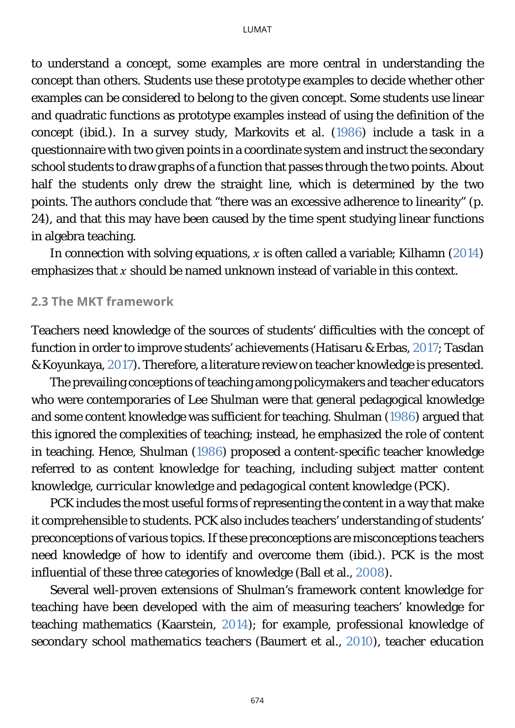to understand a concept, some examples are more central in understanding the concept than others. Students use these *prototype examples* to decide whether other examples can be considered to belong to the given concept. Some students use linear and quadratic functions as prototype examples instead of using the definition of the concept (ibid.). In a survey study, Markovits et al. [\(1986\)](#page-23-0) include a task in a questionnaire with two given points in a coordinate system and instruct the secondary school students to draw graphs of a function that passes through the two points. About half the students only drew the straight line, which is determined by the two points. The authors conclude that "there was an excessive adherence to linearity" (p. 24), and that this may have been caused by the time spent studying linear functions in algebra teaching.

In connection with solving equations,  $x$  is often called a variable; Kilhamn [\(2014\)](#page-23-0) emphasizes that  $x$  should be named unknown instead of variable in this context.

### <span id="page-4-0"></span>**2.3 The MKT framework**

Teachers need knowledge of the sources of students' difficulties with the concept of function in order to improve students' achievements (Hatisaru & Erbas, [2017;](#page-23-0) Tasdan & Koyunkaya, [2017\)](#page-23-0). Therefore, a literature review on teacher knowledge is presented.

The prevailing conceptions of teaching among policymakers and teacher educators who were contemporaries of Lee Shulman were that general pedagogical knowledge and some content knowledge was sufficient for teaching. Shulman [\(1986\)](#page-23-0) argued that this ignored the complexities of teaching; instead, he emphasized the role of content in teaching. Hence, Shulman [\(1986\)](#page-23-0) proposed a content-specific teacher knowledge referred to as *content knowledge for teaching,* including *subject matter content knowledge, curricular knowledge* and *pedagogical content knowledge* (PCK).

PCK includes the most useful forms of representing the content in a way that make it comprehensible to students. PCK also includes teachers' understanding of students' preconceptions of various topics. If these preconceptions are misconceptions teachers need knowledge of how to identify and overcome them (ibid.). PCK is the most influential of these three categories of knowledge (Ball et al., [2008\)](#page-23-0).

Several well-proven extensions of Shulman's framework *content knowledge for teaching* have been developed with the aim of measuring teachers' knowledge for teaching mathematics (Kaarstein, [2014\)](#page-23-0); for example, *professional knowledge of secondary school mathematics teachers* (Baumert et al., [2010\)](#page-23-0), *teacher education*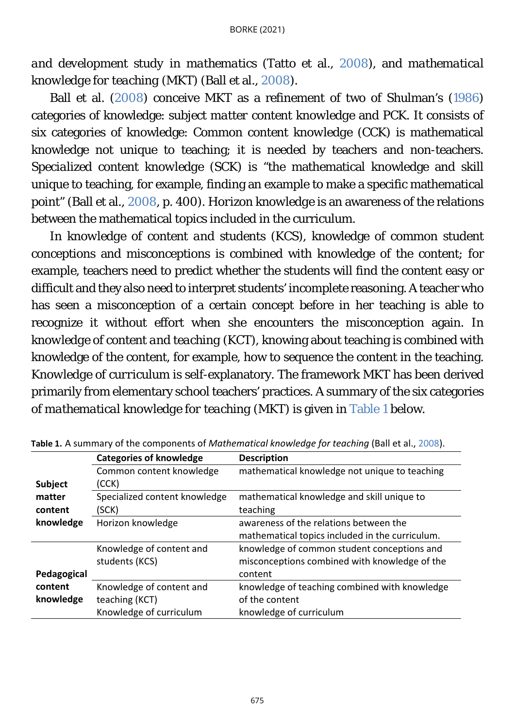*and development study in mathematics* (Tatto et al., [2008\)](#page-23-0)*,* and *mathematical knowledge for teaching* (MKT) (Ball et al., [2008\)](#page-23-0).

Ball et al. [\(2008\)](#page-23-0) conceive MKT as a refinement of two of Shulman's [\(1986\)](#page-23-0) categories of knowledge: *subject matter content knowledge* and PCK. It consists of six categories of knowledge: C*ommon content knowledge* (CCK) is mathematical knowledge not unique to teaching; it is needed by teachers and non-teachers. S*pecialized content knowledge* (SCK) is "the mathematical knowledge and skill unique to teaching, for example, finding an example to make a specific mathematical point" (Ball et al., [2008,](#page-23-0) p. 400). *Horizon knowledge* is an awareness of the relations between the mathematical topics included in the curriculum.

In *knowledge of content and students* (KCS), knowledge of common student conceptions and misconceptions is combined with knowledge of the content; for example, teachers need to predict whether the students will find the content easy or difficult and they also need to interpret students' incomplete reasoning. A teacher who has seen a misconception of a certain concept before in her teaching is able to recognize it without effort when she encounters the misconception again. In *knowledge of content and teaching* (KCT), knowing about teaching is combined with knowledge of the content, for example, how to sequence the content in the teaching. *Knowledge of curriculum* is self-explanatory. The framework MKT has been derived primarily from elementary school teachers' practices. A summary of the six categories of *mathematical knowledge for teaching* (MKT) is given in [Table 1](#page-5-0) below.

<span id="page-5-0"></span>

|                | <b>Categories of knowledge</b> | <b>Description</b>                              |
|----------------|--------------------------------|-------------------------------------------------|
|                | Common content knowledge       | mathematical knowledge not unique to teaching   |
| <b>Subject</b> | (CCK)                          |                                                 |
| matter         | Specialized content knowledge  | mathematical knowledge and skill unique to      |
| content        | (SCK)                          | teaching                                        |
| knowledge      | Horizon knowledge              | awareness of the relations between the          |
|                |                                | mathematical topics included in the curriculum. |
|                | Knowledge of content and       | knowledge of common student conceptions and     |
|                | students (KCS)                 | misconceptions combined with knowledge of the   |
| Pedagogical    |                                | content                                         |
| content        | Knowledge of content and       | knowledge of teaching combined with knowledge   |
| knowledge      | teaching (KCT)                 | of the content                                  |
|                | Knowledge of curriculum        | knowledge of curriculum                         |

**Table 1.** A summary of the components of *Mathematical knowledge for teaching* (Ball et al., [2008\)](#page-23-0).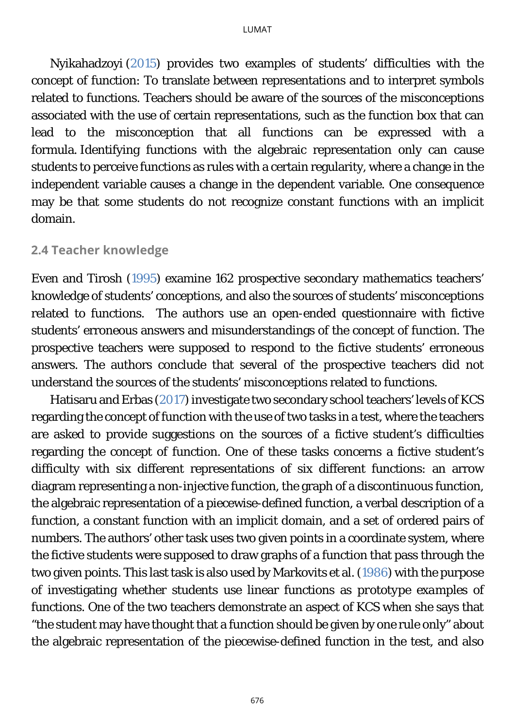Nyikahadzoyi [\(2015\)](#page-23-0) provides two examples of students' difficulties with the concept of function: To translate between representations and to interpret symbols related to functions. Teachers should be aware of the sources of the misconceptions associated with the use of certain representations, such as the function box that can lead to the misconception that all functions can be expressed with a formula. Identifying functions with the algebraic representation only can cause students to perceive functions as rules with a certain regularity, where a change in the independent variable causes a change in the dependent variable. One consequence may be that some students do not recognize constant functions with an implicit domain.

#### **2.4 Teacher knowledge**

Even and Tirosh [\(1995\)](#page-23-0) examine 162 prospective secondary mathematics teachers' knowledge of students' conceptions, and also the sources of students' misconceptions related to functions. The authors use an open-ended questionnaire with fictive students' erroneous answers and misunderstandings of the concept of function. The prospective teachers were supposed to respond to the fictive students' erroneous answers. The authors conclude that several of the prospective teachers did not understand the sources of the students' misconceptions related to functions.

Hatisaru and Erbas [\(2017\)](#page-23-0) investigate two secondary school teachers' levels of KCS regarding the concept of function with the use of two tasks in a test, where the teachers are asked to provide suggestions on the sources of a fictive student's difficulties regarding the concept of function. One of these tasks concerns a fictive student's difficulty with six different representations of six different functions: an arrow diagram representing a non-injective function, the graph of a discontinuous function, the algebraic representation of a piecewise-defined function, a verbal description of a function, a constant function with an implicit domain, and a set of ordered pairs of numbers. The authors' other task uses two given points in a coordinate system, where the fictive students were supposed to draw graphs of a function that pass through the two given points. This last task is also used by Markovits et al. [\(1986\)](#page-23-0) with the purpose of investigating whether students use linear functions as *prototype examples* of functions. One of the two teachers demonstrate an aspect of KCS when she says that "the student may have thought that a function should be given by *one* rule only" about the algebraic representation of the piecewise-defined function in the test, and also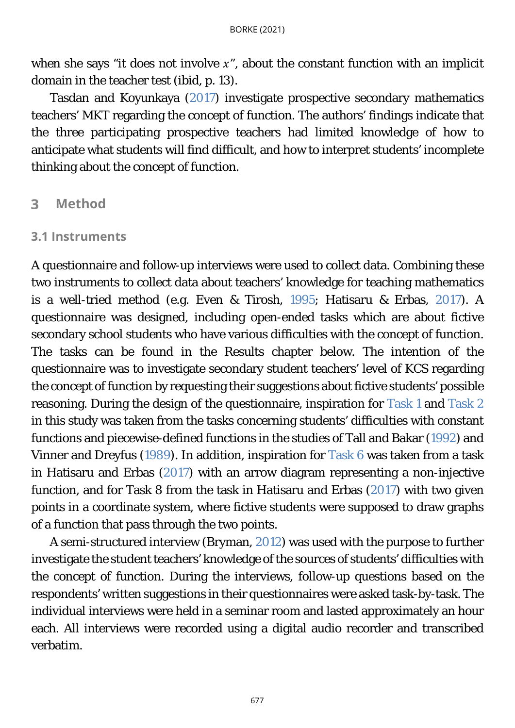when she says "it does not involve  $x$ ", about the constant function with an implicit domain in the teacher test (ibid, p. 13).

Tasdan and Koyunkaya [\(2017\)](#page-23-0) investigate prospective secondary mathematics teachers' MKT regarding the concept of function. The authors' findings indicate that the three participating prospective teachers had limited knowledge of how to anticipate what students will find difficult, and how to interpret students' incomplete thinking about the concept of function.

#### 3 **Method**

### <span id="page-7-0"></span>**3.1 Instruments**

A questionnaire and follow-up interviews were used to collect data. Combining these two instruments to collect data about teachers' knowledge for teaching mathematics is a well-tried method (e.g. Even & Tirosh, [1995;](#page-23-0) Hatisaru & Erbas, [2017\)](#page-23-0). A questionnaire was designed, including open-ended tasks which are about fictive secondary school students who have various difficulties with the concept of function. The tasks can be found in the Results chapter below. The intention of the questionnaire was to investigate secondary student teachers' level of KCS regarding the concept of function by requesting their suggestions about fictive students' possible reasoning. During the design of the questionnaire, inspiration for [Task 1](#page-10-0) and [Task 2](#page-11-0) in this study was taken from the tasks concerning students' difficulties with constant functions and piecewise-defined functions in the studies of Tall and Bakar [\(1992\)](#page-23-0) and Vinner and Dreyfus [\(1989\)](#page-23-0). In addition, inspiration for [Task 6](#page-15-0) was taken from a task in Hatisaru and Erbas [\(2017\)](#page-23-0) with an arrow diagram representing a non-injective function, and for Task 8 from the task in Hatisaru and Erbas [\(2017\)](#page-23-0) with two given points in a coordinate system, where fictive students were supposed to draw graphs of a function that pass through the two points.

A semi-structured interview (Bryman, [2012\)](#page-23-0) was used with the purpose to further investigate the student teachers' knowledge of the sources of students' difficulties with the concept of function. During the interviews, follow-up questions based on the respondents' written suggestions in their questionnaires were asked task-by-task. The individual interviews were held in a seminar room and lasted approximately an hour each. All interviews were recorded using a digital audio recorder and transcribed verbatim.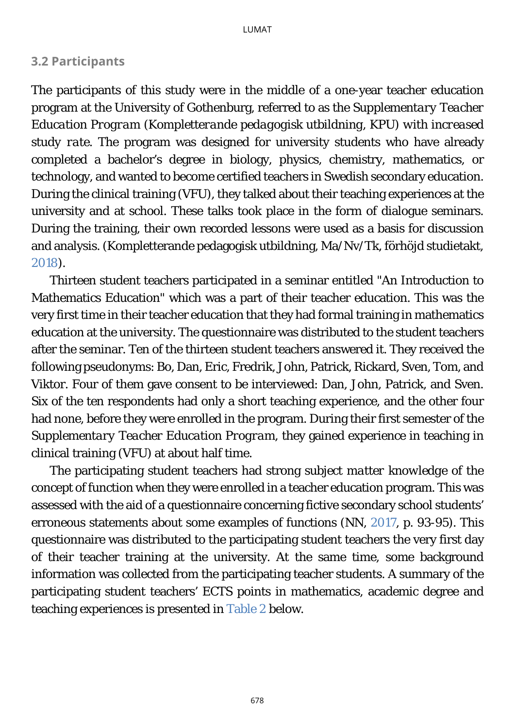# <span id="page-8-0"></span>**3.2 Participants**

The participants of this study were in the middle of a one-year teacher education program at the University of Gothenburg, referred to as the *Supplementary Teacher Education Program* (*Kompletterande pedagogisk utbildning*, KPU) *with increased study rate*. The program was designed for university students who have already completed a bachelor's degree in biology, physics, chemistry, mathematics, or technology, and wanted to become certified teachers in Swedish secondary education. During the clinical training (VFU), they talked about their teaching experiences at the university and at school. These talks took place in the form of dialogue seminars. During the training, their own recorded lessons were used as a basis for discussion and analysis. (Kompletterande pedagogisk utbildning, Ma/Nv/Tk, förhöjd studietakt, [2018\)](#page-23-0).

Thirteen student teachers participated in a seminar entitled "An Introduction to Mathematics Education" which was a part of their teacher education. This was the very first time in their teacher education that they had formal training in mathematics education at the university. The questionnaire was distributed to the student teachers after the seminar. Ten of the thirteen student teachers answered it. They received the following pseudonyms: Bo, Dan, Eric, Fredrik, John, Patrick, Rickard, Sven, Tom, and Viktor. Four of them gave consent to be interviewed: Dan, John, Patrick, and Sven. Six of the ten respondents had only a short teaching experience, and the other four had none, before they were enrolled in the program. During their first semester of the *Supplementary Teacher Education Program,* they gained experience in teaching in clinical training (VFU) at about half time.

The participating student teachers had strong *subject matter knowledge* of the concept of function when they were enrolled in a teacher education program. This was assessed with the aid of a questionnaire concerning fictive secondary school students' erroneous statements about some examples of functions (NN, [2017,](#page-23-0) p. 93-95). This questionnaire was distributed to the participating student teachers the very first day of their teacher training at the university. At the same time, some background information was collected from the participating teacher students. A summary of the participating student teachers' ECTS points in mathematics, academic degree and teaching experiences is presented in [Table 2](#page-9-0) below.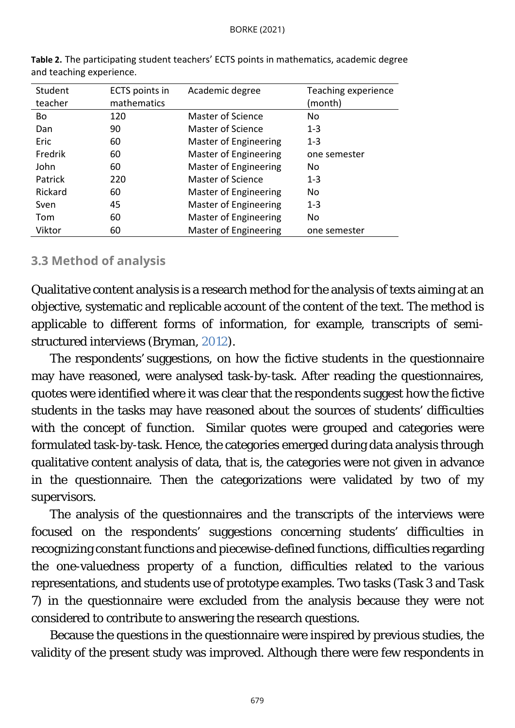<span id="page-9-0"></span>

| Student<br>teacher | ECTS points in<br>mathematics | Academic degree              | Teaching experience<br>(month) |
|--------------------|-------------------------------|------------------------------|--------------------------------|
| Bo                 | 120                           | Master of Science            | No                             |
| Dan                | 90                            | Master of Science            | $1 - 3$                        |
| Eric               | 60                            | Master of Engineering        | $1 - 3$                        |
| Fredrik            | 60                            | <b>Master of Engineering</b> | one semester                   |
| John               | 60                            | <b>Master of Engineering</b> | No                             |
| Patrick            | 220                           | Master of Science            | $1 - 3$                        |
| Rickard            | 60                            | Master of Engineering        | No                             |
| Sven               | 45                            | Master of Engineering        | $1 - 3$                        |
| Tom                | 60                            | Master of Engineering        | No                             |
| Viktor             | 60                            | <b>Master of Engineering</b> | one semester                   |

**Table 2.** The participating student teachers' ECTS points in mathematics, academic degree and teaching experience.

### **3.3 Method of analysis**

Qualitative content analysis is a research method for the analysis of texts aiming at an objective, systematic and replicable account of the content of the text. The method is applicable to different forms of information, for example, transcripts of semistructured interviews (Bryman, [2012\)](#page-23-0).

The respondents' suggestions, on how the fictive students in the questionnaire may have reasoned, were analysed task-by-task. After reading the questionnaires, quotes were identified where it was clear that the respondents suggest how the fictive students in the tasks may have reasoned about the sources of students' difficulties with the concept of function. Similar quotes were grouped and categories were formulated task-by-task. Hence, the categories emerged during data analysis through qualitative content analysis of data, that is, the categories were not given in advance in the questionnaire. Then the categorizations were validated by two of my supervisors.

The analysis of the questionnaires and the transcripts of the interviews were focused on the respondents' suggestions concerning students' difficulties in recognizing constant functions and piecewise-defined functions, difficulties regarding the one-valuedness property of a function, difficulties related to the various representations, and students use of prototype examples. Two tasks (Task 3 and Task 7) in the questionnaire were excluded from the analysis because they were not considered to contribute to answering the research questions.

Because the questions in the questionnaire were inspired by previous studies, the validity of the present study was improved. Although there were few respondents in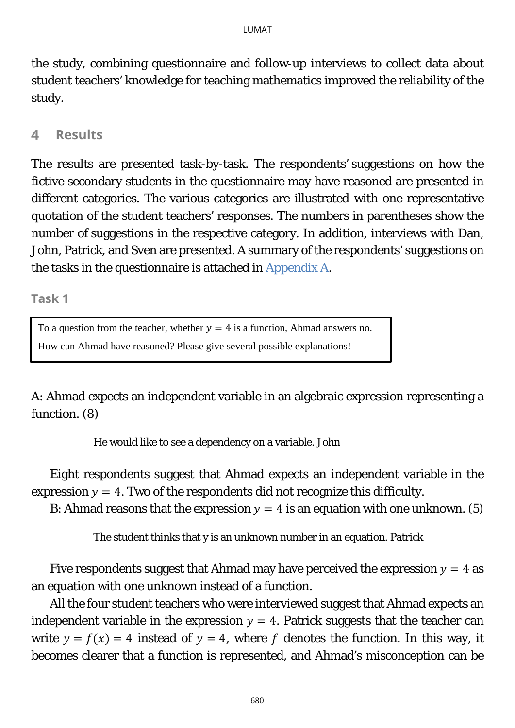the study, combining questionnaire and follow-up interviews to collect data about student teachers' knowledge for teaching mathematics improved the reliability of the study.

#### **Results**  $\blacktriangle$

The results are presented task-by-task. The respondents' suggestions on how the fictive secondary students in the questionnaire may have reasoned are presented in different categories. The various categories are illustrated with one representative quotation of the student teachers' responses. The numbers in parentheses show the number of suggestions in the respective category. In addition, interviews with Dan, John, Patrick, and Sven are presented. A summary of the respondents' suggestions on the tasks in the questionnaire is attached in [Appendix A.](#page-25-0)

**Task 1**

<span id="page-10-1"></span><span id="page-10-0"></span>To a question from the teacher, whether  $y = 4$  is a function, Ahmad answers no.

How can Ahmad have reasoned? Please give several possible explanations!

A: Ahmad expects an independent variable in an algebraic expression representing a function. (8)

He would like to see a dependency on a variable. John

Eight respondents suggest that Ahmad expects an independent variable in the expression  $y = 4$ . Two of the respondents did not recognize this difficulty.

B: Ahmad reasons that the expression  $y = 4$  is an equation with one unknown. (5)

The student thinks that y is an unknown number in an equation. Patrick

Five respondents suggest that Ahmad may have perceived the expression  $y = 4$  as an equation with one unknown instead of a function.

All the four student teachers who were interviewed suggest that Ahmad expects an independent variable in the expression  $y = 4$ . Patrick suggests that the teacher can write  $y = f(x) = 4$  instead of  $y = 4$ , where f denotes the function. In this way, it becomes clearer that a function is represented, and Ahmad's misconception can be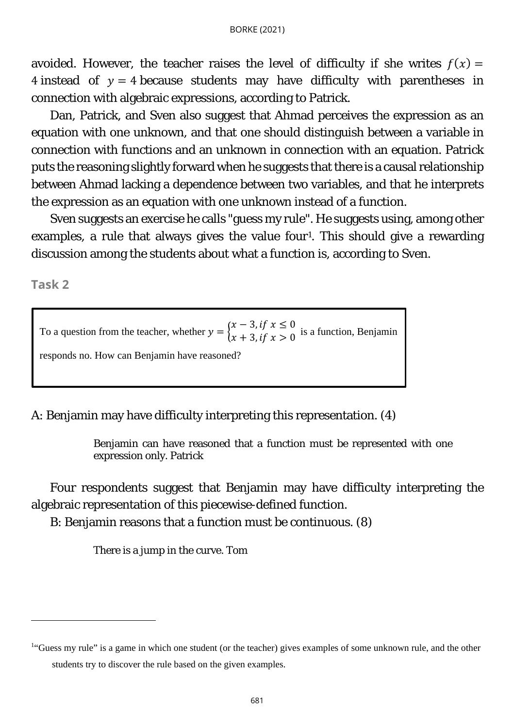avoided. However, the teacher raises the level of difficulty if she writes  $f(x) =$ 4 instead of  $y = 4$  because students may have difficulty with parentheses in connection with algebraic expressions, according to Patrick.

Dan, Patrick, and Sven also suggest that Ahmad perceives the expression as an equation with one unknown, and that one should distinguish between a variable in connection with functions and an unknown in connection with an equation. Patrick puts the reasoning slightly forward when he suggests that there is a causal relationship between Ahmad lacking a dependence between two variables, and that he interprets the expression as an equation with one unknown instead of a function.

Sven suggests an exercise he calls "guess my rule". He suggests using, among other examples, a rule that always gives the value four<sup>1</sup>. This should give a rewarding discussion among the students about what a function is, according to Sven.

**Task 2**

To a question from the teacher, whether  $y = \begin{cases} x - 3, & \text{if } x \le 0 \\ x + 3, & \text{if } x > 0 \end{cases}$  is a function, Benjamin responds no. How can Benjamin have reasoned?

A: Benjamin may have difficulty interpreting this representation. (4)

<span id="page-11-0"></span>Benjamin can have reasoned that a function must be represented with one expression only. Patrick

Four respondents suggest that Benjamin may have difficulty interpreting the algebraic representation of this piecewise-defined function.

B: Benjamin reasons that a function must be continuous. (8)

There is a jump in the curve. Tom

<span id="page-11-1"></span><sup>&</sup>lt;sup>1</sup>"Guess my rule" is a game in which one student (or the teacher) gives examples of some unknown rule, and the other students try to discover the rule based on the given examples.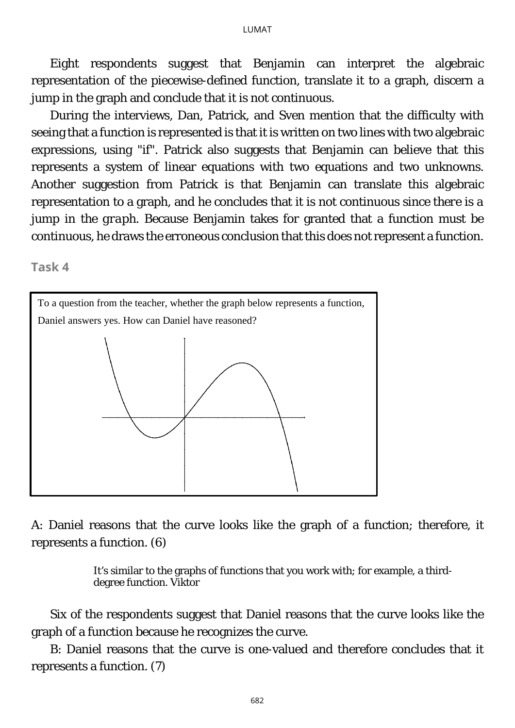Eight respondents suggest that Benjamin can interpret the algebraic representation of the piecewise-defined function, translate it to a graph, discern a jump in the graph and conclude that it is not continuous.

During the interviews, Dan, Patrick, and Sven mention that the difficulty with seeing that a function is represented is that it is written on two lines with two algebraic expressions, using "if". Patrick also suggests that Benjamin can believe that this represents a system of linear equations with two equations and two unknowns. Another suggestion from Patrick is that Benjamin can translate this algebraic representation to a graph, and he concludes that it is not continuous *since there is a jump in the graph*. Because Benjamin takes for granted that a function must be continuous, he draws the erroneous conclusion that this does not represent a function.

<span id="page-12-0"></span>**Task 4**



A: Daniel reasons that the curve looks like the graph of a function; therefore, it represents a function. (6)

> It's similar to the graphs of functions that you work with; for example, a thirddegree function. Viktor

Six of the respondents suggest that Daniel reasons that the curve looks like the graph of a function because he recognizes the curve.

B: Daniel reasons that the curve is one-valued and therefore concludes that it represents a function. (7)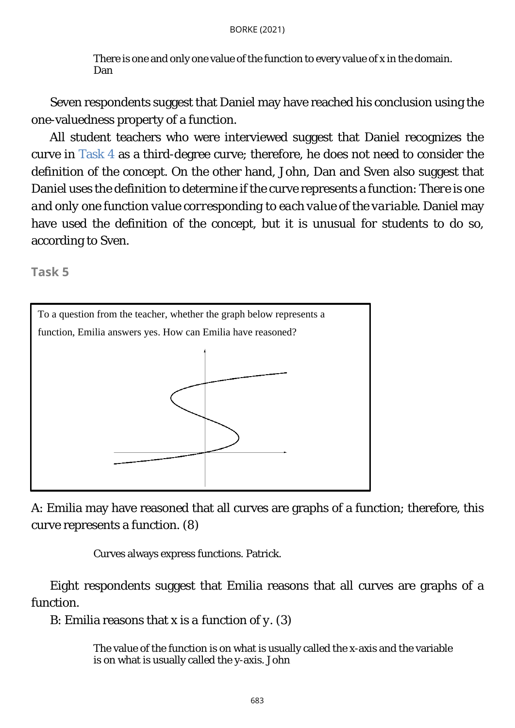There is one and only one value of the function to every value of x in the domain. Dan

Seven respondents suggest that Daniel may have reached his conclusion using the one-valuedness property of a function.

All student teachers who were interviewed suggest that Daniel recognizes the curve in [Task 4](#page-12-0) as a third-degree curve; therefore, he does not need to consider the definition of the concept. On the other hand, John, Dan and Sven also suggest that Daniel uses the definition to determine if the curve represents a function: *There is one and only one function value corresponding to each value of the variable.* Daniel may have used the definition of the concept, but it is unusual for students to do so, according to Sven.

**Task 5**

<span id="page-13-0"></span>

A: Emilia may have reasoned that all curves are graphs of a function; therefore, this curve represents a function. (8)

Curves always express functions. Patrick.

Eight respondents suggest that Emilia reasons that all curves are graphs of a function.

B: Emilia reasons that *x is a function of y*. (3)

The value of the function is on what is usually called the x-axis and the variable is on what is usually called the y-axis. John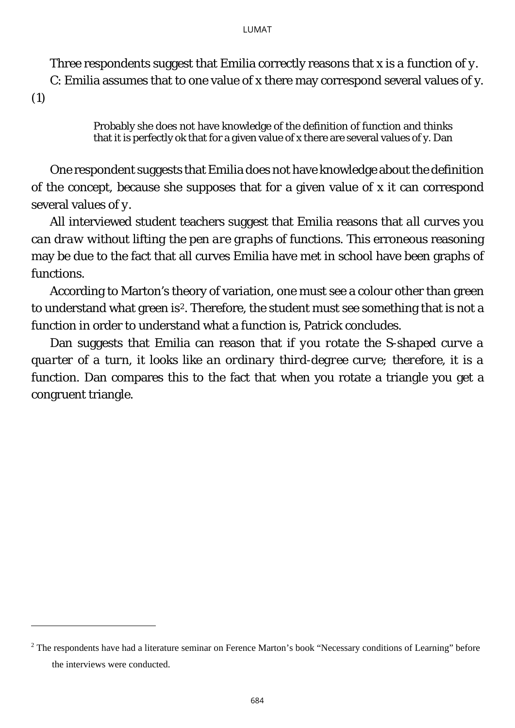Three respondents suggest that Emilia correctly reasons that *x is a function of y.* C: Emilia assumes that to one value of x there may correspond several values of y.

(1)

Probably she does not have knowledge of the definition of function and thinks that it is perfectly ok that for a given value of x there are several values of y. Dan

One respondent suggests that Emilia does not have knowledge about the definition of the concept, because she supposes that for a given value of *x* it can correspond several values of *y*.

All interviewed student teachers suggest that Emilia reasons that *all curves you can draw without lifting the pen are graphs of functions*. This erroneous reasoning may be due to the fact that all curves Emilia have met in school have been graphs of functions.

According to Marton's theory of variation, one must see a colour other than green to understand what green is<sup>[2](#page-14-0)</sup>. Therefore, the student must see something that is not a function in order to understand what a function is, Patrick concludes.

Dan suggests that Emilia can reason that *if you rotate the S-shaped curve a quarter of a turn, it looks like an ordinary third-degree curve; therefore, it is a function*. Dan compares this to the fact that when you rotate a triangle you get a congruent triangle.

<span id="page-14-0"></span><sup>&</sup>lt;sup>2</sup> The respondents have had a literature seminar on Ference Marton's book "Necessary conditions of Learning" before the interviews were conducted.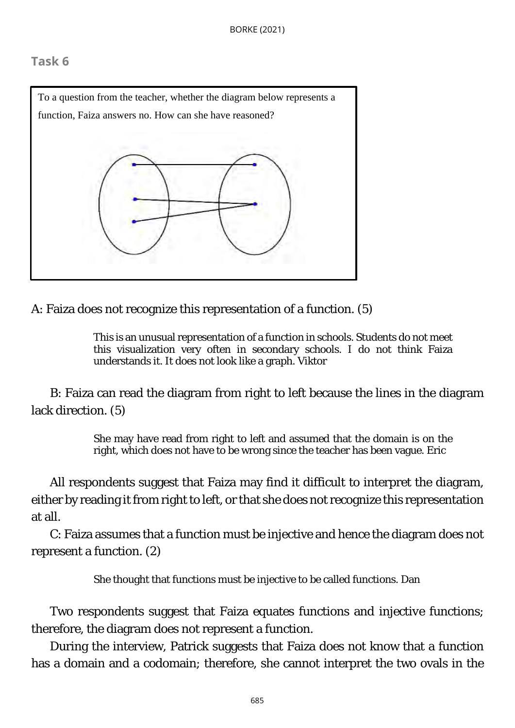# <span id="page-15-0"></span>**Task 6**



A: Faiza does not recognize this representation of a function. (5)

This is an unusual representation of a function in schools. Students do not meet this visualization very often in secondary schools. I do not think Faiza understands it. It does not look like a graph. Viktor

B: Faiza can read the diagram from right to left because the lines in the diagram lack direction. (5)

> She may have read from right to left and assumed that the domain is on the right, which does not have to be wrong since the teacher has been vague. Eric

All respondents suggest that Faiza may find it difficult to interpret the diagram, either by reading it from right to left, or that she does not recognize this representation at all.

C: Faiza assumes that a function must be injective and hence the diagram does not represent a function. (2)

She thought that functions must be injective to be called functions. Dan

Two respondents suggest that Faiza equates *functions* and *injective functions*; therefore, the diagram does not represent a function.

During the interview, Patrick suggests that Faiza does not know that a function has a domain and a codomain; therefore, she cannot interpret the two ovals in the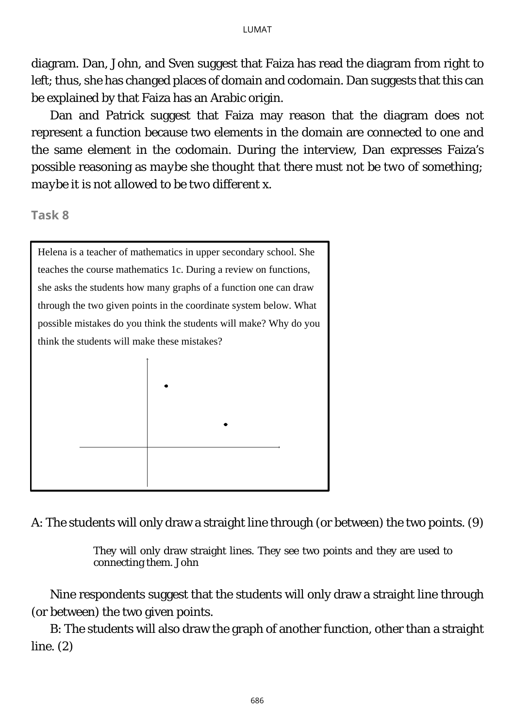diagram. Dan, John, and Sven suggest that Faiza has read the diagram from right to left; thus, she has changed places of domain and codomain. Dan suggests that this can be explained by that Faiza has an Arabic origin.

Dan and Patrick suggest that Faiza may reason that the diagram does not represent a function because two elements in the domain are connected to one and the same element in the codomain. During the interview, Dan expresses Faiza's possible reasoning as *maybe she thought that there must not be two of something; maybe it is not allowed to be two different x.*

**Task 8** 

Helena is a teacher of mathematics in upper secondary school. She teaches the course mathematics 1c. During a review on functions, she asks the students how many graphs of a function one can draw through the two given points in the coordinate system below. What possible mistakes do you think the students will make? Why do you think the students will make these mistakes?

<span id="page-16-0"></span>

A: The students will only draw a straight line through (or between) the two points. (9)

They will only draw straight lines. They see two points and they are used to connecting them. John

Nine respondents suggest that the students will only draw a straight line through (or between) the two given points.

B: The students will also draw the graph of another function, other than a straight line. (2)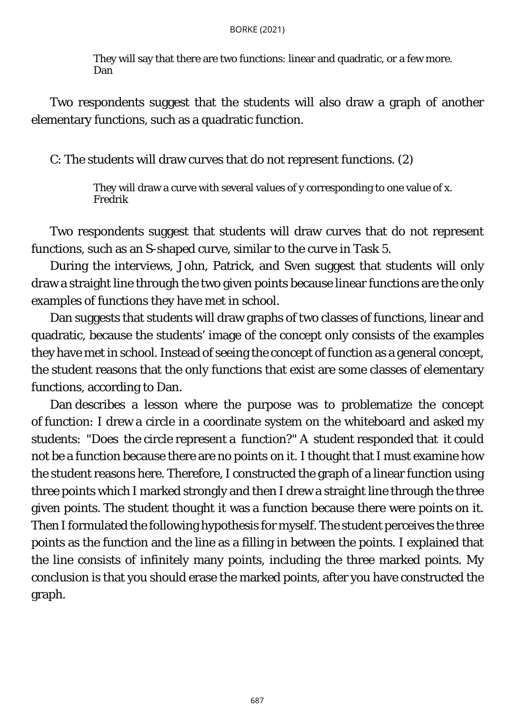They will say that there are two functions: linear and quadratic, or a few more. Dan

Two respondents suggest that the students will also draw a graph of another elementary functions, such as a quadratic function.

C: The students will draw curves that do not represent functions. (2)

They will draw a curve with several values of y corresponding to one value of x. Fredrik

Two respondents suggest that students will draw curves that do not represent functions, such as an S-shaped curve, similar to the curve in [Task 5.](#page-13-0)

During the interviews, John, Patrick, and Sven suggest that students will only draw a straight line through the two given points because linear functions are the only examples of functions they have met in school.

Dan suggests that students will draw graphs of two classes of functions, linear and quadratic, because the students' image of the concept only consists of the examples they have met in school. Instead of seeing the concept of function as a general concept, the student reasons that the only functions that exist are some classes of elementary functions, according to Dan.

Dan describes a lesson where the purpose was to problematize the concept of function: I drew a circle in a coordinate system on the whiteboard and asked my students: "Does the circle represent a function?" A student responded that it could not be a function because there are no points on it. I thought that I must examine how the student reasons here. Therefore, I constructed the graph of a linear function using three points which I marked strongly and then I drew a straight line through the three given points. The student thought it was a function because there were points on it. Then I formulated the following hypothesis for myself. The student perceives the three points as the function and the line as a filling in between the points. I explained that the line consists of infinitely many points, including the three marked points. My conclusion is that you should erase the marked points, after you have constructed the graph.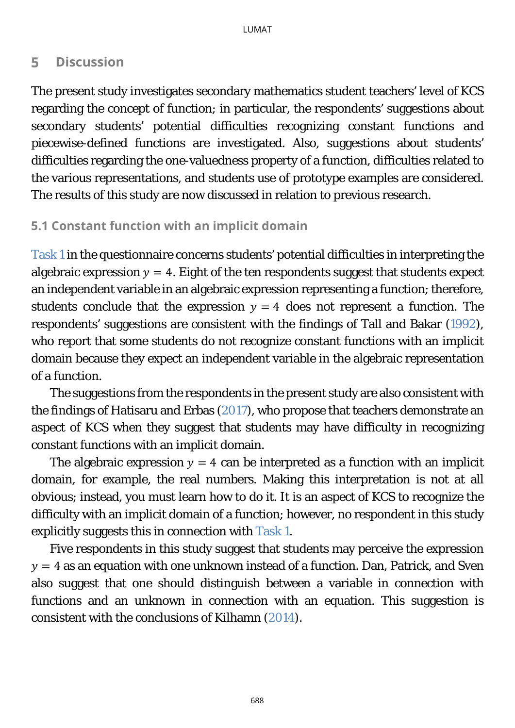#### 5 **Discussion**

The present study investigates secondary mathematics student teachers' level of KCS regarding the concept of function; in particular, the respondents' suggestions about secondary students' potential difficulties recognizing constant functions and piecewise-defined functions are investigated. Also, suggestions about students' difficulties regarding the one-valuedness property of a function, difficulties related to the various representations, and students use of prototype examples are considered. The results of this study are now discussed in relation to previous research.

# **5.1 Constant function with an implicit domain**

[Task 1](#page-10-0) in the questionnaire concerns students' potential difficulties in interpreting the algebraic expression  $y = 4$ . Eight of the ten respondents suggest that students expect an independent variable in an algebraic expression representing a function; therefore, students conclude that the expression  $y = 4$  does not represent a function. The respondents' suggestions are consistent with the findings of Tall and Bakar [\(1992\)](#page-23-0), who report that some students do not recognize constant functions with an implicit domain because they expect an independent variable in the algebraic representation of a function.

The suggestions from the respondents in the present study are also consistent with the findings of Hatisaru and Erbas [\(2017\)](#page-23-0), who propose that teachers demonstrate an aspect of KCS when they suggest that students may have difficulty in recognizing constant functions with an implicit domain.

The algebraic expression  $y = 4$  can be interpreted as a function with an implicit domain, for example, the real numbers. Making this interpretation is not at all obvious; instead, you must learn how to do it. It is an aspect of KCS to recognize the difficulty with an implicit domain of a function; however, no respondent in this study explicitly suggests this in connection with [Task 1.](#page-10-1)

Five respondents in this study suggest that students may perceive the expression  $y = 4$  as an equation with one unknown instead of a function. Dan, Patrick, and Sven also suggest that one should distinguish between a variable in connection with functions and an unknown in connection with an equation. This suggestion is consistent with the conclusions of Kilhamn [\(2014\)](#page-23-0).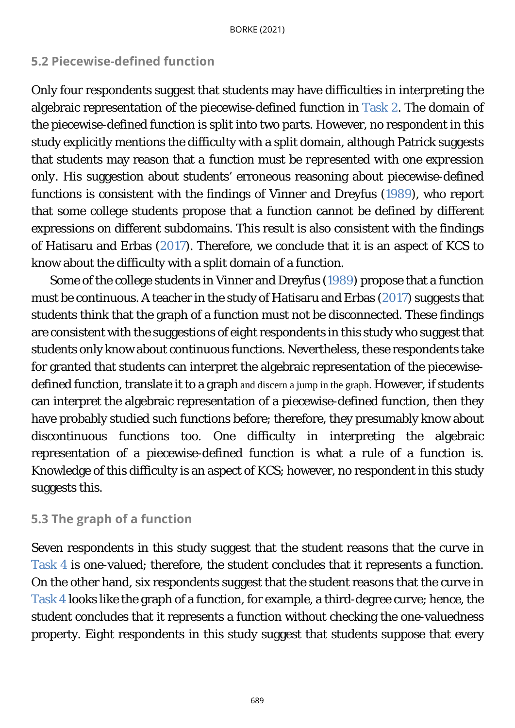# **5.2 Piecewise-defined function**

Only four respondents suggest that students may have difficulties in interpreting the algebraic representation of the piecewise-defined function in [Task 2.](#page-11-0) The domain of the piecewise-defined function is split into two parts. However, no respondent in this study explicitly mentions the difficulty with a split domain, although Patrick suggests that students may reason that *a function must be represented with one expression only*. His suggestion about students' erroneous reasoning about piecewise-defined functions is consistent with the findings of Vinner and Dreyfus [\(1989\)](#page-23-0), who report that some college students propose that a function cannot be defined by different expressions on different subdomains. This result is also consistent with the findings of Hatisaru and Erbas [\(2017\)](#page-23-0). Therefore, we conclude that it is an aspect of KCS to know about the difficulty with a split domain of a function.

Some of the college students in Vinner and Dreyfus [\(1989\)](#page-23-0) propose that a function must be continuous. A teacher in the study of Hatisaru and Erbas [\(2017\)](#page-23-0) suggests that students think that the graph of a function must not be disconnected. These findings are consistent with the suggestions of eight respondents in this study who suggest that students only know about continuous functions. Nevertheless, these respondents take for granted that students can interpret the algebraic representation of the piecewisedefined function, translate it to a graph and discern a jump in the graph. However, if students can interpret the algebraic representation of a piecewise-defined function, then they have probably studied such functions before; therefore, they presumably know about discontinuous functions too. One difficulty in interpreting the algebraic representation of a piecewise-defined function is what a rule of a function is. Knowledge of this difficulty is an aspect of KCS; however, no respondent in this study suggests this.

# **5.3 The graph of a function**

Seven respondents in this study suggest that the student reasons that the curve in [Task 4](#page-12-0) is one-valued; therefore, the student concludes that it represents a function. On the other hand, six respondents suggest that the student reasons that the curve in [Task 4](#page-12-0) looks like the graph of a function, for example, a third-degree curve; hence, the student concludes that it represents a function without checking the one-valuedness property. Eight respondents in this study suggest that students suppose that every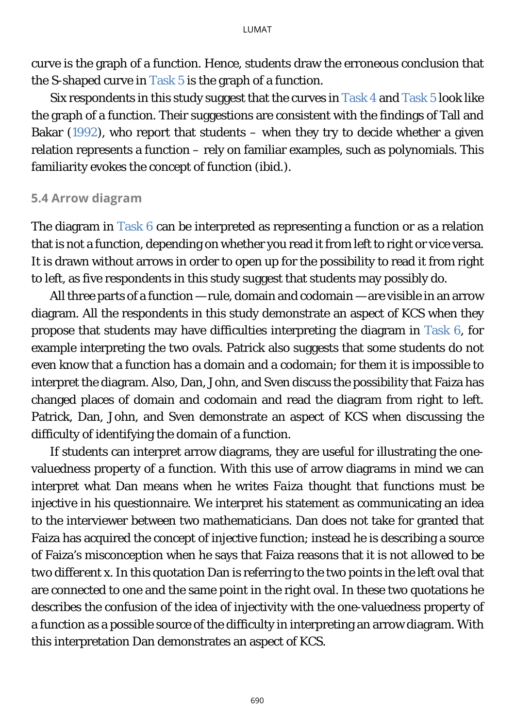curve is the graph of a function. Hence, students draw the erroneous conclusion that the S-shaped curve in [Task 5](#page-13-0) is the graph of a function.

Six respondents in this study suggest that the curves in [Task 4](#page-12-0) and [Task 5](#page-13-0) look like the graph of a function. Their suggestions are consistent with the findings of Tall and Bakar  $(1992)$ , who report that students – when they try to decide whether a given relation represents a function – rely on familiar examples, such as polynomials. This familiarity evokes the concept of function (ibid.).

### **5.4 Arrow diagram**

The diagram in [Task 6](#page-15-0) can be interpreted as representing a function or as a relation that is not a function, depending on whether you read it from left to right or vice versa. It is drawn without arrows in order to open up for the possibility to read it from right to left, as five respondents in this study suggest that students may possibly do.

All three parts of a function — rule, domain and codomain — are visible in an arrow diagram. All the respondents in this study demonstrate an aspect of KCS when they propose that students may have difficulties interpreting the diagram in [Task 6,](#page-15-0) for example interpreting the two ovals. Patrick also suggests that some students do not even know that a function has a domain and a codomain; for them it is impossible to interpret the diagram. Also, Dan, John, and Sven discuss the possibility that Faiza has changed places of domain and codomain and read the diagram from right to left. Patrick, Dan, John, and Sven demonstrate an aspect of KCS when discussing the difficulty of identifying the domain of a function.

If students can interpret arrow diagrams, they are useful for illustrating the onevaluedness property of a function. With this use of arrow diagrams in mind we can interpret what Dan means when he writes *Faiza thought that functions must be injective* in his questionnaire. We interpret his statement as communicating an idea to the interviewer between two mathematicians. Dan does *not* take for granted that Faiza has acquired the concept of injective function; instead he is describing a source of Faiza's misconception when he says that Faiza reasons that *it is not allowed to be two different x*. In this quotation Dan is referring to the two points in the left oval that are connected to one and the same point in the right oval. In these two quotations he describes the confusion of the idea of injectivity with the one-valuedness property of a function as a possible source of the difficulty in interpreting an arrow diagram. With this interpretation Dan demonstrates an aspect of KCS.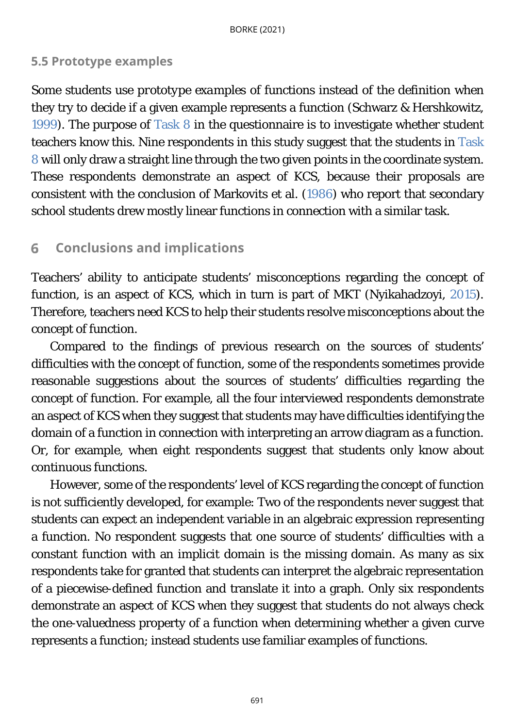## **5.5 Prototype examples**

Some students use *prototype examples* of functions instead of the definition when they try to decide if a given example represents a function (Schwarz & Hershkowitz, [1999\)](#page-23-0). The purpose of [Task 8](#page-16-0) in the questionnaire is to investigate whether student teachers know this. Nine respondents in this study suggest that the students in [Task](#page-16-0)  [8](#page-16-0) will only draw a straight line through the two given points in the coordinate system. These respondents demonstrate an aspect of KCS, because their proposals are consistent with the conclusion of Markovits et al. [\(1986\)](#page-23-0) who report that secondary school students drew mostly linear functions in connection with a similar task.

#### <span id="page-21-0"></span>**Conclusions and implications** 6

Teachers' ability to anticipate students' misconceptions regarding the concept of function, is an aspect of KCS, which in turn is part of MKT (Nyikahadzoyi, [2015\)](#page-23-0). Therefore, teachers need KCS to help their students resolve misconceptions about the concept of function.

Compared to the findings of previous research on the sources of students' difficulties with the concept of function, some of the respondents sometimes provide reasonable suggestions about the sources of students' difficulties regarding the concept of function. For example, all the four interviewed respondents demonstrate an aspect of KCS when they suggest that students may have difficulties identifying the domain of a function in connection with interpreting an arrow diagram as a function. Or, for example, when eight respondents suggest that students only know about continuous functions.

However, some of the respondents' level of KCS regarding the concept of function is not sufficiently developed, for example: Two of the respondents never suggest that students can expect an independent variable in an algebraic expression representing a function. No respondent suggests that one source of students' difficulties with a constant function with an implicit domain is the missing domain. As many as six respondents take for granted that students can interpret the algebraic representation of a piecewise-defined function and translate it into a graph. Only six respondents demonstrate an aspect of KCS when they suggest that students do not always check the one-valuedness property of a function when determining whether a given curve represents a function; instead students use familiar examples of functions.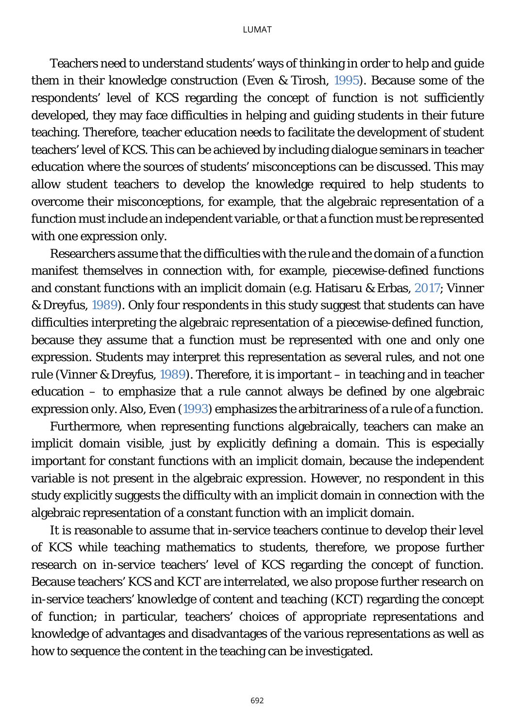Teachers need to understand students' ways of thinking in order to help and guide them in their knowledge construction (Even & Tirosh, [1995\)](#page-23-0). Because some of the respondents' level of KCS regarding the concept of function is not sufficiently developed, they may face difficulties in helping and guiding students in their future teaching. Therefore, teacher education needs to facilitate the development of student teachers' level of KCS. This can be achieved by including dialogue seminars in teacher education where the sources of students' misconceptions can be discussed. This may allow student teachers to develop the knowledge required to help students to overcome their misconceptions, for example, that the algebraic representation of a function must include an independent variable, or that a function must be represented with one expression only.

Researchers assume that the difficulties with the rule and the domain of a function manifest themselves in connection with, for example, piecewise-defined functions and constant functions with an implicit domain (e.g. Hatisaru & Erbas, [2017;](#page-23-0) Vinner & Dreyfus, [1989\)](#page-23-0). Only four respondents in this study suggest that students can have difficulties interpreting the algebraic representation of a piecewise-defined function, because they assume that a function must be represented with one and only one expression. Students may interpret this representation as several rules, and not *one* rule (Vinner & Dreyfus, [1989\)](#page-23-0). Therefore, it is important – in teaching and in teacher education – to emphasize that a rule cannot always be defined by one algebraic expression only. Also, Even [\(1993\)](#page-23-0) emphasizes the arbitrariness of a rule of a function.

Furthermore, when representing functions algebraically, teachers can make an implicit domain visible, just by explicitly defining a domain. This is especially important for constant functions with an implicit domain, because the independent variable is not present in the algebraic expression. However, no respondent in this study explicitly suggests the difficulty with an implicit domain in connection with the algebraic representation of a constant function with an implicit domain.

It is reasonable to assume that in-service teachers continue to develop their level of KCS while teaching mathematics to students, therefore, we propose further research on in-service teachers' level of KCS regarding the concept of function. Because teachers' KCS and KCT are interrelated, we also propose further research on in-service teachers' *knowledge of content and teaching* (KCT) regarding the concept of function; in particular, teachers' choices of appropriate representations and knowledge of advantages and disadvantages of the various representations as well as how to sequence the content in the teaching can be investigated.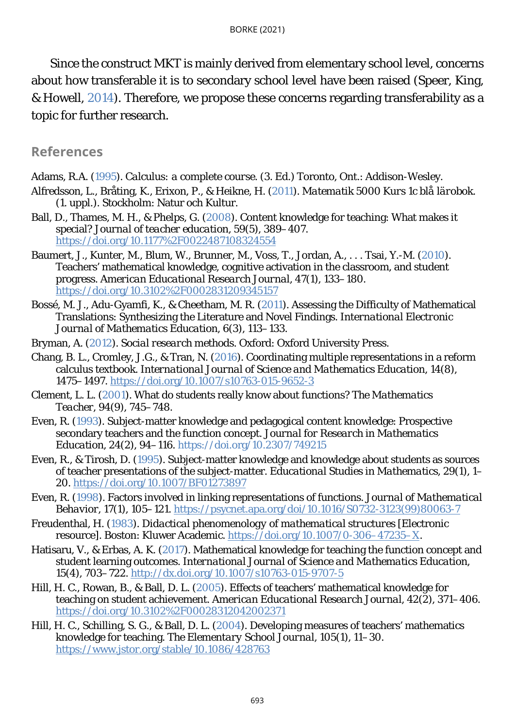Since the construct MKT is mainly derived from elementary school level, concerns about how transferable it is to secondary school level have been raised (Speer, King, & Howell, [2014\)](#page-23-0). Therefore, we propose these concerns regarding transferability as a topic for further research.

### <span id="page-23-0"></span>**References**

Adams, R.A. [\(1995\)](#page-1-0). *Calculus: a* complete *course*. (3. Ed.) Toronto, Ont.: Addison-Wesley.

- Alfredsson, L., Bråting, K., Erixon, P., & Heikne, H. [\(2011\)](#page-1-0). *Matematik 5000 Kurs 1c blå lärobok*. (1. uppl.). Stockholm: Natur och Kultur.
- Ball, D., Thames, M. H., & Phelps, G. [\(2008\)](#page-0-0). Content knowledge for teaching: What makes it special? *Journal of teacher education, 59*(5), 389–407. <https://doi.org/10.1177%2F0022487108324554>
- Baumert, J., Kunter, M., Blum, W., Brunner, M., Voss, T., Jordan, A., . . . Tsai, Y.-M. [\(2010\)](#page-0-0). Teachers' mathematical knowledge, cognitive activation in the classroom, and student progress. *American Educational Research Journal, 47*(1), 133–180. <https://doi.org/10.3102%2F0002831209345157>
- Bossé, M. J., Adu-Gyamfi, K., & Cheetham, M. R. [\(2011\)](#page-2-0). Assessing the Difficulty of Mathematical Translations: Synthesizing the Literature and Novel Findings. *International Electronic Journal of Mathematics Education, 6*(3), 113–133.
- Bryman, A. [\(2012\)](#page-7-0). *Social research methods*. Oxford: Oxford University Press.
- Chang, B. L., Cromley, J.G., & Tran, N. [\(2016\)](#page-1-0). Coordinating multiple representations in a reform calculus textbook. *International Journal of Science and Mathematics Education*, *14*(8), 1475–1497.<https://doi.org/10.1007/s10763-015-9652-3>
- Clement, L. L. [\(2001\)](#page-0-0). What do students really know about functions? *The Mathematics Teacher*, *94*(9), 745–748.
- Even, R. [\(1993\)](#page-21-0). Subject-matter knowledge and pedagogical content knowledge: Prospective secondary teachers and the function concept. *Journal for Research in Mathematics Education*, *24*(2), 94–116.<https://doi.org/10.2307/749215>
- Even, R., & Tirosh, D. [\(1995\)](#page-0-0). Subject-matter knowledge and knowledge about students as sources of teacher presentations of the subject-matter. *Educational Studies in Mathematics*, 29(1), 1– 20.<https://doi.org/10.1007/BF01273897>
- Even, R. [\(1998\)](#page-2-0). Factors involved in linking representations of functions. *Journal of Mathematical Behavior*, 17(1), 105–121. [https://psycnet.apa.org/doi/10.1016/S0732-3123\(99\)80063-7](https://psycnet.apa.org/doi/10.1016/S0732-3123(99)80063-7)
- Freudenthal, H. [\(1983\)](#page-0-0). *Didactical phenomenology of mathematical structures* [Electronic resource]. Boston: Kluwer Academic. [https://doi.org/10.1007/0-306–47235–X.](https://doi.org/10.1007/0-306%E2%80%9347235%E2%80%93X)
- Hatisaru, V., & Erbas, A. K. [\(2017\)](#page-0-0). Mathematical knowledge for teaching the function concept and student learning outcomes. *International Journal of Science and Mathematics Education*, *15*(4), 703–722.<http://dx.doi.org/10.1007/s10763-015-9707-5>
- Hill, H. C., Rowan, B., & Ball, D. L. [\(2005\)](#page-0-0). Effects of teachers' mathematical knowledge for teaching on student achievement. *American Educational Research Journal*, *42*(2), 371–406. <https://doi.org/10.3102%2F00028312042002371>
- Hill, H. C., Schilling, S. G., & Ball, D. L. [\(2004\)](#page-0-0). Developing measures of teachers' mathematics knowledge for teaching. *The Elementary School Journal*, *105*(1), 11–30. <https://www.jstor.org/stable/10.1086/428763>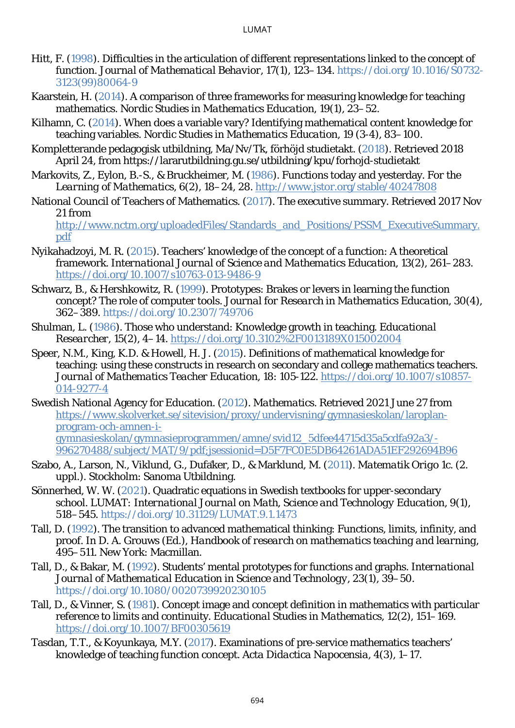- Hitt, F. [\(1998\)](#page-2-0). Difficulties in the articulation of different representations linked to the concept of function. *Journal of Mathematical Behavior*, 17(1), 123–134. [https://doi.org/10.1016/S0732-](https://doi.org/10.1016/S0732-3123(99)80064-9) [3123\(99\)80064-9](https://doi.org/10.1016/S0732-3123(99)80064-9)
- Kaarstein, H. [\(2014\)](#page-4-0). A comparison of three frameworks for measuring knowledge for teaching mathematics. *Nordic Studies in Mathematics Education*, 19(1), 23–52.
- Kilhamn, C. [\(2014\)](#page-2-0). When does a variable vary? Identifying mathematical content knowledge for teaching variables. *Nordic Studies in Mathematics Education*, *19* (3-4), 83–100.
- Kompletterande pedagogisk utbildning, Ma/Nv/Tk, förhöjd studietakt. [\(2018\)](#page-8-0). Retrieved 2018 April 24, from https://lararutbildning.gu.se/utbildning/kpu/forhojd-studietakt
- Markovits, Z., Eylon, B.-S., & Bruckheimer, M. [\(1986\)](#page-1-0). Functions today and yesterday. *For the Learning of Mathematics*, 6(2), 18–24, 28.<http://www.jstor.org/stable/40247808>
- National Council of Teachers of Mathematics. [\(2017\)](#page-0-0). The executive summary. Retrieved 2017 Nov 21 from

[http://www.nctm.org/uploadedFiles/Standards\\_and\\_Positions/PSSM\\_ExecutiveSummary.](http://www.nctm.org/uploadedFiles/Standards_and_Positions/PSSM_ExecutiveSummary.pdf) [pdf](http://www.nctm.org/uploadedFiles/Standards_and_Positions/PSSM_ExecutiveSummary.pdf)

- Nyikahadzoyi, M. R. [\(2015\)](#page-0-0). Teachers' knowledge of the concept of a function: A theoretical framework. *International Journal of Science and Mathematics Education*, 13(2), 261–283. <https://doi.org/10.1007/s10763-013-9486-9>
- Schwarz, B., & Hershkowitz, R. [\(1999\)](#page-2-0). Prototypes: Brakes or levers in learning the function concept? The role of computer tools. *Journal for Research in Mathematics Education*, 30(4), 362–389.<https://doi.org/10.2307/749706>
- Shulman, L. [\(1986\)](#page-0-0). Those who understand: Knowledge growth in teaching. *Educational Researcher*, 15(2), 4–14.<https://doi.org/10.3102%2F0013189X015002004>
- Speer, N.M., King, K.D. & Howell, H. J. [\(2015\)](#page-21-0). Definitions of mathematical knowledge for teaching: using these constructs in research on secondary and college mathematics teachers. *Journal of Mathematics Teacher Education*, 18: 105-122. [https://doi.org/10.1007/s10857-](https://doi.org/10.1007/s10857-014-9277-4) [014-9277-4](https://doi.org/10.1007/s10857-014-9277-4)
- Swedish National Agency for Education. [\(2012\)](#page-0-0). *Mathematics*. Retrieved 2021 June 27 from [https://www.skolverket.se/sitevision/proxy/undervisning/gymnasieskolan/laroplan](https://www.skolverket.se/sitevision/proxy/undervisning/gymnasieskolan/laroplan-program-och-amnen-i-gymnasieskolan/gymnasieprogrammen/amne/svid12_5dfee44715d35a5cdfa92a3/-996270488/subject/MAT/9/pdf;jsessionid=D5F7FC0E5DB64261ADA51EF292694B96)[program-och-amnen-i](https://www.skolverket.se/sitevision/proxy/undervisning/gymnasieskolan/laroplan-program-och-amnen-i-gymnasieskolan/gymnasieprogrammen/amne/svid12_5dfee44715d35a5cdfa92a3/-996270488/subject/MAT/9/pdf;jsessionid=D5F7FC0E5DB64261ADA51EF292694B96)[gymnasieskolan/gymnasieprogrammen/amne/svid12\\_5dfee44715d35a5cdfa92a3/-](https://www.skolverket.se/sitevision/proxy/undervisning/gymnasieskolan/laroplan-program-och-amnen-i-gymnasieskolan/gymnasieprogrammen/amne/svid12_5dfee44715d35a5cdfa92a3/-996270488/subject/MAT/9/pdf;jsessionid=D5F7FC0E5DB64261ADA51EF292694B96) [996270488/subject/MAT/9/pdf;jsessionid=D5F7FC0E5DB64261ADA51EF292694B96](https://www.skolverket.se/sitevision/proxy/undervisning/gymnasieskolan/laroplan-program-och-amnen-i-gymnasieskolan/gymnasieprogrammen/amne/svid12_5dfee44715d35a5cdfa92a3/-996270488/subject/MAT/9/pdf;jsessionid=D5F7FC0E5DB64261ADA51EF292694B96)
- Szabo, A., Larson, N., Viklund, G., Dufåker, D., & Marklund, M. [\(2011\)](#page-1-0). *Matematik Origo 1c. (2. uppl.).* Stockholm: Sanoma Utbildning.
- Sönnerhed, W. W. [\(2021\)](#page-1-0). Quadratic equations in Swedish textbooks for upper-secondary school. *LUMAT: International Journal on Math, Science and Technology Education*, 9(1), 518–545.<https://doi.org/10.31129/LUMAT.9.1.1473>
- Tall, D. [\(1992\)](#page-0-0). The transition to advanced mathematical thinking: Functions, limits, infinity, and proof. In D. A. Grouws (Ed.), *Handbook of research on mathematics teaching and learning*, 495–511. New York: Macmillan.
- Tall, D., & Bakar, M. [\(1992\)](#page-2-0). Students' mental prototypes for functions and graphs. *International Journal of Mathematical Education in Science and Technology, 23*(1), 39–50. <https://doi.org/10.1080/0020739920230105>
- Tall, D., & Vinner, S. [\(1981\)](#page-2-0). Concept image and concept definition in mathematics with particular reference to limits and continuity. *Educational Studies in Mathematics*, *12*(2), 151–169. <https://doi.org/10.1007/BF00305619>
- Tasdan, T.T., & Koyunkaya, M.Y. [\(2017\)](#page-4-0). Examinations of pre-service mathematics teachers' knowledge of teaching function concept. *Acta Didactica Napocensia*, *4*(3), 1–17.